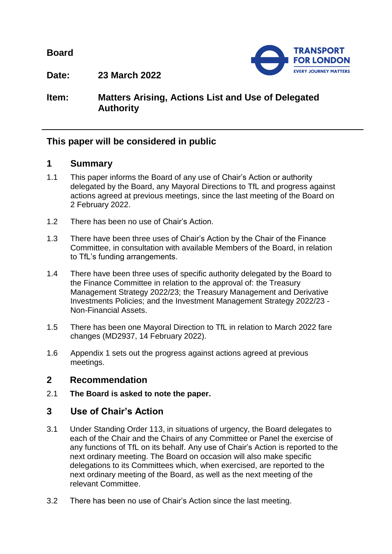**Board**



**Date: 23 March 2022**

# **Item: Matters Arising, Actions List and Use of Delegated Authority**

# **This paper will be considered in public**

## **1 Summary**

- 1.1 This paper informs the Board of any use of Chair's Action or authority delegated by the Board, any Mayoral Directions to TfL and progress against actions agreed at previous meetings, since the last meeting of the Board on 2 February 2022.
- 1.2 There has been no use of Chair's Action.
- 1.3 There have been three uses of Chair's Action by the Chair of the Finance Committee, in consultation with available Members of the Board, in relation to TfL's funding arrangements.
- 1.4 There have been three uses of specific authority delegated by the Board to the Finance Committee in relation to the approval of: the Treasury Management Strategy 2022/23; the Treasury Management and Derivative Investments Policies; and the Investment Management Strategy 2022/23 - Non-Financial Assets.
- 1.5 There has been one Mayoral Direction to TfL in relation to March 2022 fare changes (MD2937, 14 February 2022).
- 1.6 Appendix 1 sets out the progress against actions agreed at previous meetings.

## **2 Recommendation**

2.1 **The Board is asked to note the paper.**

# **3 Use of Chair's Action**

- 3.1 Under Standing Order 113, in situations of urgency, the Board delegates to each of the Chair and the Chairs of any Committee or Panel the exercise of any functions of TfL on its behalf. Any use of Chair's Action is reported to the next ordinary meeting. The Board on occasion will also make specific delegations to its Committees which, when exercised, are reported to the next ordinary meeting of the Board, as well as the next meeting of the relevant Committee.
- 3.2 There has been no use of Chair's Action since the last meeting.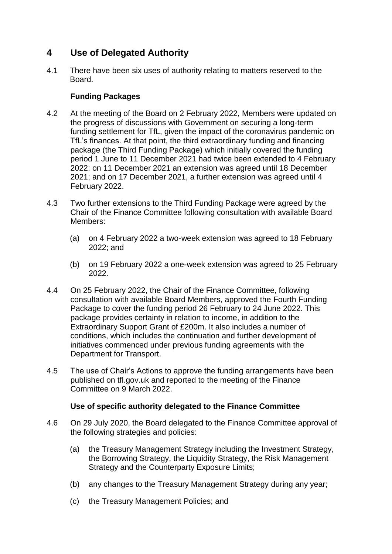# **4 Use of Delegated Authority**

4.1 There have been six uses of authority relating to matters reserved to the Board.

### **Funding Packages**

- 4.2 At the meeting of the Board on 2 February 2022, Members were updated on the progress of discussions with Government on securing a long-term funding settlement for TfL, given the impact of the coronavirus pandemic on TfL's finances. At that point, the third extraordinary funding and financing package (the Third Funding Package) which initially covered the funding period 1 June to 11 December 2021 had twice been extended to 4 February 2022: on 11 December 2021 an extension was agreed until 18 December 2021; and on 17 December 2021, a further extension was agreed until 4 February 2022.
- 4.3 Two further extensions to the Third Funding Package were agreed by the Chair of the Finance Committee following consultation with available Board Members:
	- (a) on 4 February 2022 a two-week extension was agreed to 18 February 2022; and
	- (b) on 19 February 2022 a one-week extension was agreed to 25 February 2022.
- 4.4 On 25 February 2022, the Chair of the Finance Committee, following consultation with available Board Members, approved the Fourth Funding Package to cover the funding period 26 February to 24 June 2022. This package provides certainty in relation to income, in addition to the Extraordinary Support Grant of £200m. It also includes a number of conditions, which includes the continuation and further development of initiatives commenced under previous funding agreements with the Department for Transport.
- 4.5 The use of Chair's Actions to approve the funding arrangements have been published on tfl.gov.uk and reported to the meeting of the Finance Committee on 9 March 2022.

### **Use of specific authority delegated to the Finance Committee**

- 4.6 On 29 July 2020, the Board delegated to the Finance Committee approval of the following strategies and policies:
	- (a) the Treasury Management Strategy including the Investment Strategy, the Borrowing Strategy, the Liquidity Strategy, the Risk Management Strategy and the Counterparty Exposure Limits;
	- (b) any changes to the Treasury Management Strategy during any year;
	- (c) the Treasury Management Policies; and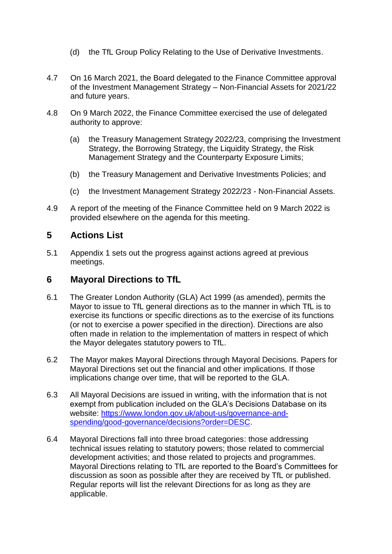- (d) the TfL Group Policy Relating to the Use of Derivative Investments.
- 4.7 On 16 March 2021, the Board delegated to the Finance Committee approval of the Investment Management Strategy – Non-Financial Assets for 2021/22 and future years.
- 4.8 On 9 March 2022, the Finance Committee exercised the use of delegated authority to approve:
	- (a) the Treasury Management Strategy 2022/23, comprising the Investment Strategy, the Borrowing Strategy, the Liquidity Strategy, the Risk Management Strategy and the Counterparty Exposure Limits;
	- (b) the Treasury Management and Derivative Investments Policies; and
	- (c) the Investment Management Strategy 2022/23 Non-Financial Assets.
- 4.9 A report of the meeting of the Finance Committee held on 9 March 2022 is provided elsewhere on the agenda for this meeting.

## **5 Actions List**

5.1 Appendix 1 sets out the progress against actions agreed at previous meetings.

### **6 Mayoral Directions to TfL**

- 6.1 The Greater London Authority (GLA) Act 1999 (as amended), permits the Mayor to issue to TfL general directions as to the manner in which TfL is to exercise its functions or specific directions as to the exercise of its functions (or not to exercise a power specified in the direction). Directions are also often made in relation to the implementation of matters in respect of which the Mayor delegates statutory powers to TfL.
- 6.2 The Mayor makes Mayoral Directions through Mayoral Decisions. Papers for Mayoral Directions set out the financial and other implications. If those implications change over time, that will be reported to the GLA.
- 6.3 All Mayoral Decisions are issued in writing, with the information that is not exempt from publication included on the GLA's Decisions Database on its website: [https://www.london.gov.uk/about-us/governance-and](https://www.london.gov.uk/about-us/governance-and-spending/good-governance/decisions?order=DESC)[spending/good-governance/decisions?order=DESC.](https://www.london.gov.uk/about-us/governance-and-spending/good-governance/decisions?order=DESC)
- 6.4 Mayoral Directions fall into three broad categories: those addressing technical issues relating to statutory powers; those related to commercial development activities; and those related to projects and programmes. Mayoral Directions relating to TfL are reported to the Board's Committees for discussion as soon as possible after they are received by TfL or published. Regular reports will list the relevant Directions for as long as they are applicable.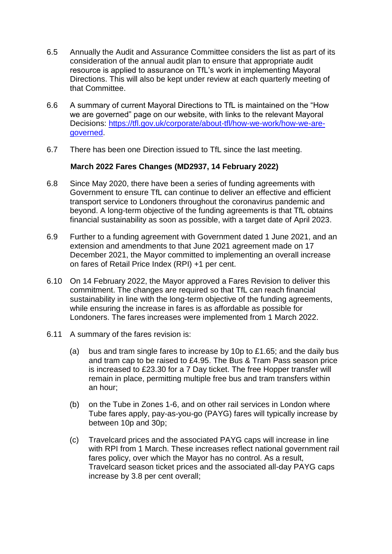- 6.5 Annually the Audit and Assurance Committee considers the list as part of its consideration of the annual audit plan to ensure that appropriate audit resource is applied to assurance on TfL's work in implementing Mayoral Directions. This will also be kept under review at each quarterly meeting of that Committee.
- 6.6 A summary of current Mayoral Directions to TfL is maintained on the "How we are governed" page on our website, with links to the relevant Mayoral Decisions: [https://tfl.gov.uk/corporate/about-tfl/how-we-work/how-we-are](https://tfl.gov.uk/corporate/about-tfl/how-we-work/how-we-are-governed)[governed.](https://tfl.gov.uk/corporate/about-tfl/how-we-work/how-we-are-governed)
- 6.7 There has been one Direction issued to TfL since the last meeting.

#### **March 2022 Fares Changes (MD2937, 14 February 2022)**

- 6.8 Since May 2020, there have been a series of funding agreements with Government to ensure TfL can continue to deliver an effective and efficient transport service to Londoners throughout the coronavirus pandemic and beyond. A long-term objective of the funding agreements is that TfL obtains financial sustainability as soon as possible, with a target date of April 2023.
- 6.9 Further to a funding agreement with Government dated 1 June 2021, and an extension and amendments to that June 2021 agreement made on 17 December 2021, the Mayor committed to implementing an overall increase on fares of Retail Price Index (RPI) +1 per cent.
- 6.10 On 14 February 2022, the Mayor approved a Fares Revision to deliver this commitment. The changes are required so that TfL can reach financial sustainability in line with the long-term objective of the funding agreements, while ensuring the increase in fares is as affordable as possible for Londoners. The fares increases were implemented from 1 March 2022.
- 6.11 A summary of the fares revision is:
	- (a) bus and tram single fares to increase by 10p to £1.65; and the daily bus and tram cap to be raised to £4.95. The Bus & Tram Pass season price is increased to £23.30 for a 7 Day ticket. The free Hopper transfer will remain in place, permitting multiple free bus and tram transfers within an hour;
	- (b) on the Tube in Zones 1-6, and on other rail services in London where Tube fares apply, pay-as-you-go (PAYG) fares will typically increase by between 10p and 30p;
	- (c) Travelcard prices and the associated PAYG caps will increase in line with RPI from 1 March. These increases reflect national government rail fares policy, over which the Mayor has no control. As a result, Travelcard season ticket prices and the associated all-day PAYG caps increase by 3.8 per cent overall;